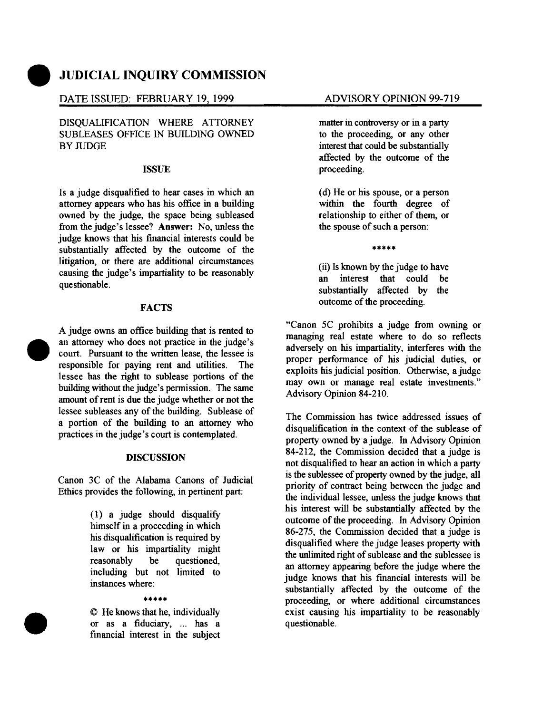# **• JUDICIAL INQUIRY COMMISSION**

#### DATE ISSUED: FEBRUARY 19,1999 ADVISORY OPINION 99-719

DISQUALIFICATION WHERE ATTORNEY SUBLEASES OFFICE IN BUILDING OWNED BY JUDGE

#### ISSUE

Is a judge disqualified to hear cases in which an attorney appears who has his office in a building owned by the judge, the space being subleased from the judge's lessee? Answer: No, unless the judge knows that his financial interests could be substantially affected by the outcome of the litigation, or there are additional circumstances causing the judge's impartiality to be reasonably questionable.

### **FACTS**



•

A judge owns an office building that is rented to an attorney who does not practice in the judge's court. Pursuant to the written lease, the lessee is responsible for paying rent and utilities. The lessee has the right to sublease portions of the building without the judge's permission. The same amount of rent is due the judge whether or not the lessee subleases any of the building. Sublease of a portion of the building to an attorney who practices in the judge's court is contemplated.

#### DISCUSSION

Canon 3C of the Alabama Canons of Judicial Ethics provides the following, in pertinent part:

> (1) a judge should disqualify himself in a proceeding in which his disqualification is required by law or his impartiality might reasonably be questioned, including but not limited to instances where:

#### •••••

© He knows that he, individually or as a fiduciary, ... has a financial interest in the subject matter in controversy or in a party to the proceeding, or any other interest that could be substantially affected by the outcome of the proceeding.

(d) He or his spouse, or a person within the fourth degree of relationship to either of them, or the spouse of such a person:

•••••

(ii) Is known by the judge to have an interest that could be substantially affected by the outcome of the proceeding.

"Canon 5C prohibits a judge from owning or managing real estate where to do so reflects adversely on his impartiality, interferes with the proper performance of his judicial duties, or exploits his judicial position. Otherwise, a judge may own or manage real estate investments." Advisory Opinion 84-210.

The Commission has twice addressed issues of disqualification in the context of the sublease of property owned by a judge. In Advisory Opinion  $84-212$ , the Commission decided that a judge is not disqualified to hear an action in which a party is the sublessee of property owned by the judge, all priority of contract being between the judge and the individual lessee, unless the judge knows that his interest will be substantially affected by the outcome of the proceeding. In Advisory Opinion 86-275, the Commission decided that a judge is disqualified where the judge leases property with the unlimited right of sublease and the sublessee is an attorney appearing before the judge where the judge knows that his financial interests will be substantially affected by the outcome of the proceeding, or where additional circumstances exist causing his impartiality to be reasonably questionable.